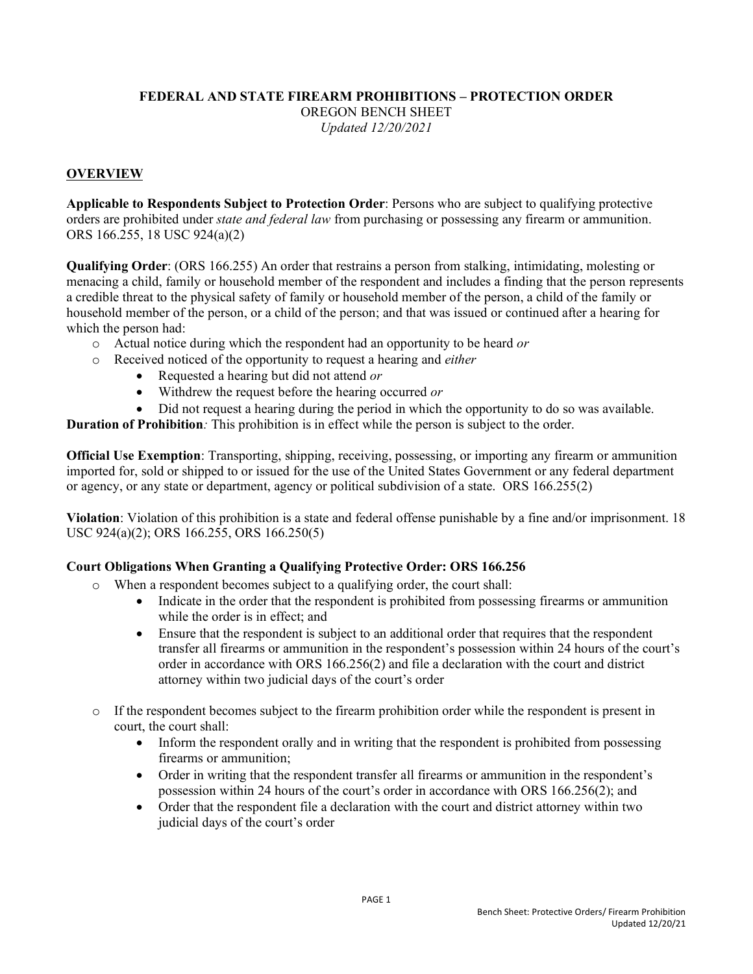## **FEDERAL AND STATE FIREARM PROHIBITIONS – PROTECTION ORDER**

OREGON BENCH SHEET

*Updated 12/20/2021*

## **OVERVIEW**

**Applicable to Respondents Subject to Protection Order**: Persons who are subject to qualifying protective orders are prohibited under *state and federal law* from purchasing or possessing any firearm or ammunition. ORS 166.255, 18 USC 924(a)(2)

**Qualifying Order**: (ORS 166.255) An order that restrains a person from stalking, intimidating, molesting or menacing a child, family or household member of the respondent and includes a finding that the person represents a credible threat to the physical safety of family or household member of the person, a child of the family or household member of the person, or a child of the person; and that was issued or continued after a hearing for which the person had:

- o Actual notice during which the respondent had an opportunity to be heard *or*
- o Received noticed of the opportunity to request a hearing and *either*
	- Requested a hearing but did not attend *or*
	- Withdrew the request before the hearing occurred *or*
	- Did not request a hearing during the period in which the opportunity to do so was available.

**Duration of Prohibition***:* This prohibition is in effect while the person is subject to the order.

**Official Use Exemption**: Transporting, shipping, receiving, possessing, or importing any firearm or ammunition imported for, sold or shipped to or issued for the use of the United States Government or any federal department or agency, or any state or department, agency or political subdivision of a state. ORS 166.255(2)

**Violation**: Violation of this prohibition is a state and federal offense punishable by a fine and/or imprisonment. 18 USC 924(a)(2); ORS 166.255, ORS 166.250(5)

## **Court Obligations When Granting a Qualifying Protective Order: ORS 166.256**

- o When a respondent becomes subject to a qualifying order, the court shall:
	- Indicate in the order that the respondent is prohibited from possessing firearms or ammunition while the order is in effect; and
	- Ensure that the respondent is subject to an additional order that requires that the respondent transfer all firearms or ammunition in the respondent's possession within 24 hours of the court's order in accordance with ORS 166.256(2) and file a declaration with the court and district attorney within two judicial days of the court's order
- o If the respondent becomes subject to the firearm prohibition order while the respondent is present in court, the court shall:
	- Inform the respondent orally and in writing that the respondent is prohibited from possessing firearms or ammunition;
	- Order in writing that the respondent transfer all firearms or ammunition in the respondent's possession within 24 hours of the court's order in accordance with ORS 166.256(2); and
	- Order that the respondent file a declaration with the court and district attorney within two judicial days of the court's order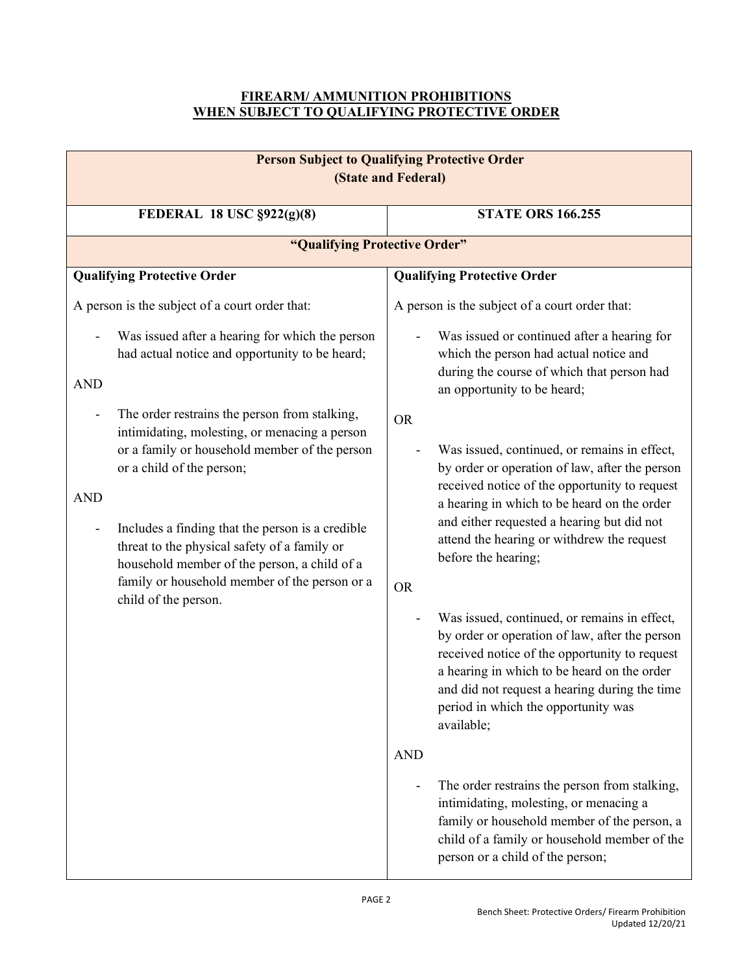## **FIREARM/ AMMUNITION PROHIBITIONS WHEN SUBJECT TO QUALIFYING PROTECTIVE ORDER**

| <b>Person Subject to Qualifying Protective Order</b><br>(State and Federal)                                                                                                                                                                                                                                                                                                                                                                         |                                                                                                                                                                                                                                                                                                                                             |  |
|-----------------------------------------------------------------------------------------------------------------------------------------------------------------------------------------------------------------------------------------------------------------------------------------------------------------------------------------------------------------------------------------------------------------------------------------------------|---------------------------------------------------------------------------------------------------------------------------------------------------------------------------------------------------------------------------------------------------------------------------------------------------------------------------------------------|--|
| FEDERAL 18 USC §922(g)(8)                                                                                                                                                                                                                                                                                                                                                                                                                           | <b>STATE ORS 166.255</b>                                                                                                                                                                                                                                                                                                                    |  |
| "Qualifying Protective Order"                                                                                                                                                                                                                                                                                                                                                                                                                       |                                                                                                                                                                                                                                                                                                                                             |  |
| <b>Qualifying Protective Order</b>                                                                                                                                                                                                                                                                                                                                                                                                                  | <b>Qualifying Protective Order</b>                                                                                                                                                                                                                                                                                                          |  |
| A person is the subject of a court order that:                                                                                                                                                                                                                                                                                                                                                                                                      | A person is the subject of a court order that:                                                                                                                                                                                                                                                                                              |  |
| Was issued after a hearing for which the person<br>had actual notice and opportunity to be heard;<br><b>AND</b>                                                                                                                                                                                                                                                                                                                                     | Was issued or continued after a hearing for<br>which the person had actual notice and<br>during the course of which that person had<br>an opportunity to be heard;                                                                                                                                                                          |  |
| The order restrains the person from stalking,<br>intimidating, molesting, or menacing a person<br>or a family or household member of the person<br>or a child of the person;<br><b>AND</b><br>Includes a finding that the person is a credible<br>$\overline{\phantom{a}}$<br>threat to the physical safety of a family or<br>household member of the person, a child of a<br>family or household member of the person or a<br>child of the person. | <b>OR</b><br>Was issued, continued, or remains in effect,<br>by order or operation of law, after the person<br>received notice of the opportunity to request<br>a hearing in which to be heard on the order<br>and either requested a hearing but did not<br>attend the hearing or withdrew the request<br>before the hearing;<br><b>OR</b> |  |
|                                                                                                                                                                                                                                                                                                                                                                                                                                                     | Was issued, continued, or remains in effect,<br>by order or operation of law, after the person<br>received notice of the opportunity to request<br>a hearing in which to be heard on the order<br>and did not request a hearing during the time<br>period in which the opportunity was<br>available;                                        |  |
|                                                                                                                                                                                                                                                                                                                                                                                                                                                     | <b>AND</b><br>The order restrains the person from stalking,<br>intimidating, molesting, or menacing a<br>family or household member of the person, a<br>child of a family or household member of the<br>person or a child of the person;                                                                                                    |  |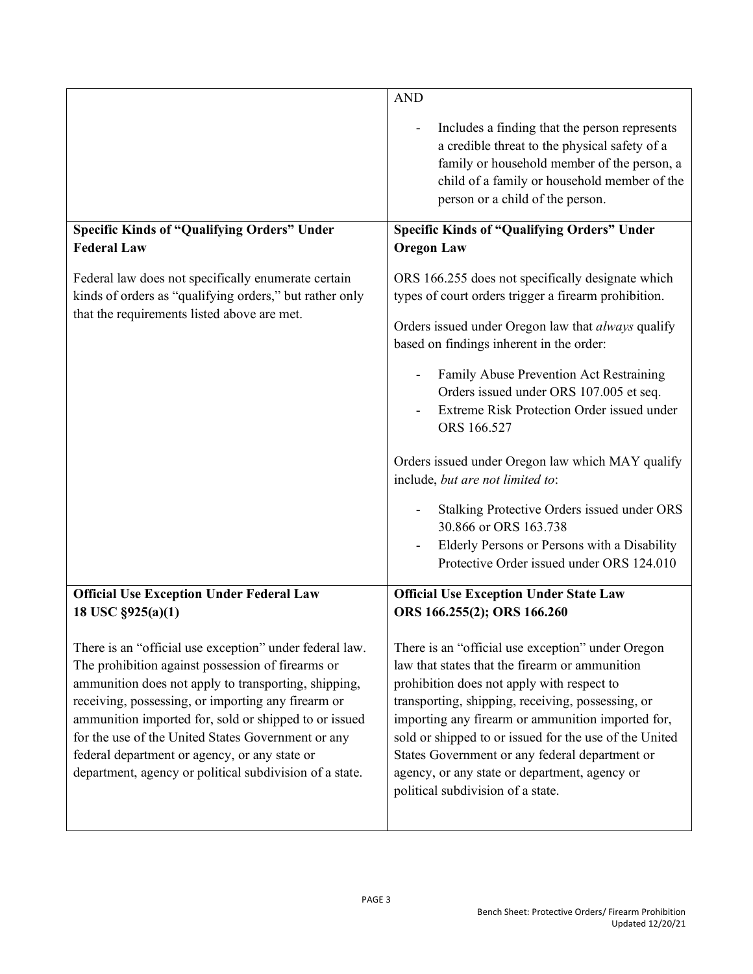|                                                                                                                                                                                                                                                                                                                                                                                                                                                       | <b>AND</b>                                                                                                                                                                                                                                                                                                                                                                                                                                                                                                                                                                                                                  |
|-------------------------------------------------------------------------------------------------------------------------------------------------------------------------------------------------------------------------------------------------------------------------------------------------------------------------------------------------------------------------------------------------------------------------------------------------------|-----------------------------------------------------------------------------------------------------------------------------------------------------------------------------------------------------------------------------------------------------------------------------------------------------------------------------------------------------------------------------------------------------------------------------------------------------------------------------------------------------------------------------------------------------------------------------------------------------------------------------|
|                                                                                                                                                                                                                                                                                                                                                                                                                                                       | Includes a finding that the person represents<br>a credible threat to the physical safety of a<br>family or household member of the person, a<br>child of a family or household member of the<br>person or a child of the person.                                                                                                                                                                                                                                                                                                                                                                                           |
| <b>Specific Kinds of "Qualifying Orders" Under</b><br><b>Federal Law</b>                                                                                                                                                                                                                                                                                                                                                                              | <b>Specific Kinds of "Qualifying Orders" Under</b><br><b>Oregon Law</b>                                                                                                                                                                                                                                                                                                                                                                                                                                                                                                                                                     |
| Federal law does not specifically enumerate certain<br>kinds of orders as "qualifying orders," but rather only<br>that the requirements listed above are met.                                                                                                                                                                                                                                                                                         | ORS 166.255 does not specifically designate which<br>types of court orders trigger a firearm prohibition.<br>Orders issued under Oregon law that always qualify<br>based on findings inherent in the order:<br>Family Abuse Prevention Act Restraining<br>Orders issued under ORS 107.005 et seq.<br>Extreme Risk Protection Order issued under<br>ORS 166.527<br>Orders issued under Oregon law which MAY qualify<br>include, but are not limited to:<br>Stalking Protective Orders issued under ORS<br>30.866 or ORS 163.738<br>Elderly Persons or Persons with a Disability<br>Protective Order issued under ORS 124.010 |
| <b>Official Use Exception Under Federal Law</b><br>18 USC §925(a)(1)                                                                                                                                                                                                                                                                                                                                                                                  | <b>Official Use Exception Under State Law</b><br>ORS 166.255(2); ORS 166.260                                                                                                                                                                                                                                                                                                                                                                                                                                                                                                                                                |
| There is an "official use exception" under federal law.<br>The prohibition against possession of firearms or<br>ammunition does not apply to transporting, shipping,<br>receiving, possessing, or importing any firearm or<br>ammunition imported for, sold or shipped to or issued<br>for the use of the United States Government or any<br>federal department or agency, or any state or<br>department, agency or political subdivision of a state. | There is an "official use exception" under Oregon<br>law that states that the firearm or ammunition<br>prohibition does not apply with respect to<br>transporting, shipping, receiving, possessing, or<br>importing any firearm or ammunition imported for,<br>sold or shipped to or issued for the use of the United<br>States Government or any federal department or<br>agency, or any state or department, agency or<br>political subdivision of a state.                                                                                                                                                               |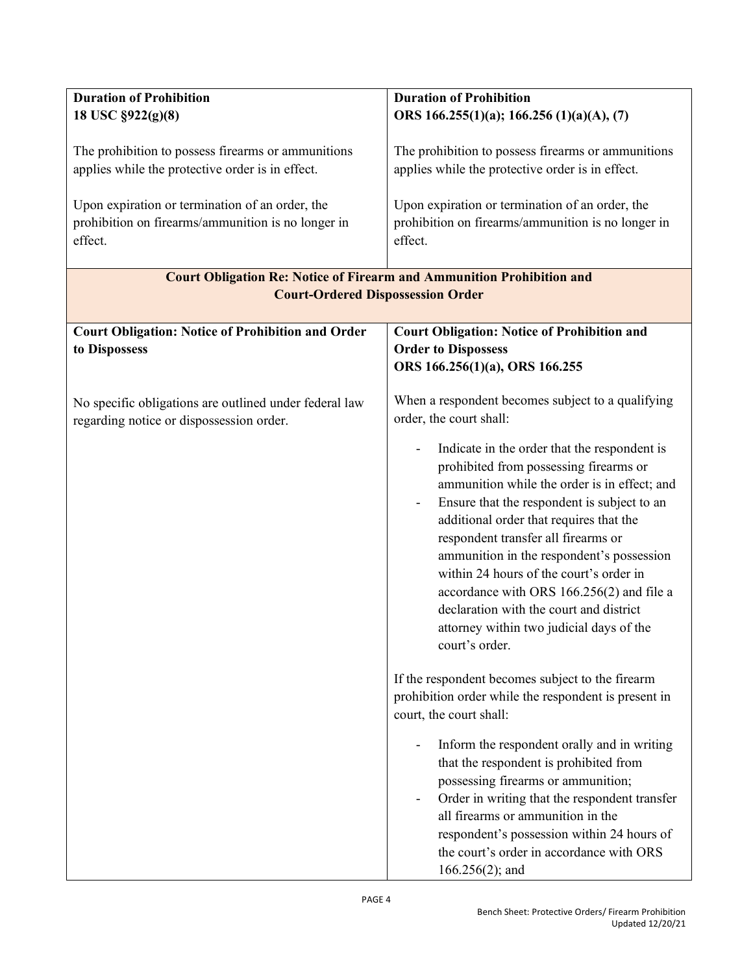| <b>Duration of Prohibition</b>                                                                                           | <b>Duration of Prohibition</b>                                                                                                                                                                                                                                                                                                                                                                                                                                                                                        |  |
|--------------------------------------------------------------------------------------------------------------------------|-----------------------------------------------------------------------------------------------------------------------------------------------------------------------------------------------------------------------------------------------------------------------------------------------------------------------------------------------------------------------------------------------------------------------------------------------------------------------------------------------------------------------|--|
| 18 USC §922(g)(8)                                                                                                        | ORS 166.255(1)(a); 166.256 (1)(a)(A), (7)                                                                                                                                                                                                                                                                                                                                                                                                                                                                             |  |
| The prohibition to possess firearms or ammunitions                                                                       | The prohibition to possess firearms or ammunitions                                                                                                                                                                                                                                                                                                                                                                                                                                                                    |  |
| applies while the protective order is in effect.                                                                         | applies while the protective order is in effect.                                                                                                                                                                                                                                                                                                                                                                                                                                                                      |  |
| Upon expiration or termination of an order, the<br>prohibition on firearms/ammunition is no longer in<br>effect.         | Upon expiration or termination of an order, the<br>prohibition on firearms/ammunition is no longer in<br>effect.                                                                                                                                                                                                                                                                                                                                                                                                      |  |
|                                                                                                                          |                                                                                                                                                                                                                                                                                                                                                                                                                                                                                                                       |  |
| <b>Court Obligation Re: Notice of Firearm and Ammunition Prohibition and</b><br><b>Court-Ordered Dispossession Order</b> |                                                                                                                                                                                                                                                                                                                                                                                                                                                                                                                       |  |
| <b>Court Obligation: Notice of Prohibition and Order</b>                                                                 | <b>Court Obligation: Notice of Prohibition and</b>                                                                                                                                                                                                                                                                                                                                                                                                                                                                    |  |
| to Dispossess                                                                                                            | <b>Order to Dispossess</b>                                                                                                                                                                                                                                                                                                                                                                                                                                                                                            |  |
|                                                                                                                          | ORS 166.256(1)(a), ORS 166.255                                                                                                                                                                                                                                                                                                                                                                                                                                                                                        |  |
|                                                                                                                          |                                                                                                                                                                                                                                                                                                                                                                                                                                                                                                                       |  |
| No specific obligations are outlined under federal law<br>regarding notice or dispossession order.                       | When a respondent becomes subject to a qualifying<br>order, the court shall:                                                                                                                                                                                                                                                                                                                                                                                                                                          |  |
|                                                                                                                          | Indicate in the order that the respondent is<br>prohibited from possessing firearms or<br>ammunition while the order is in effect; and<br>Ensure that the respondent is subject to an<br>additional order that requires that the<br>respondent transfer all firearms or<br>ammunition in the respondent's possession<br>within 24 hours of the court's order in<br>accordance with ORS 166.256(2) and file a<br>declaration with the court and district<br>attorney within two judicial days of the<br>court's order. |  |
|                                                                                                                          | If the respondent becomes subject to the firearm<br>prohibition order while the respondent is present in<br>court, the court shall:                                                                                                                                                                                                                                                                                                                                                                                   |  |
|                                                                                                                          | Inform the respondent orally and in writing<br>that the respondent is prohibited from<br>possessing firearms or ammunition;<br>Order in writing that the respondent transfer<br>all firearms or ammunition in the<br>respondent's possession within 24 hours of<br>the court's order in accordance with ORS<br>$166.256(2)$ ; and                                                                                                                                                                                     |  |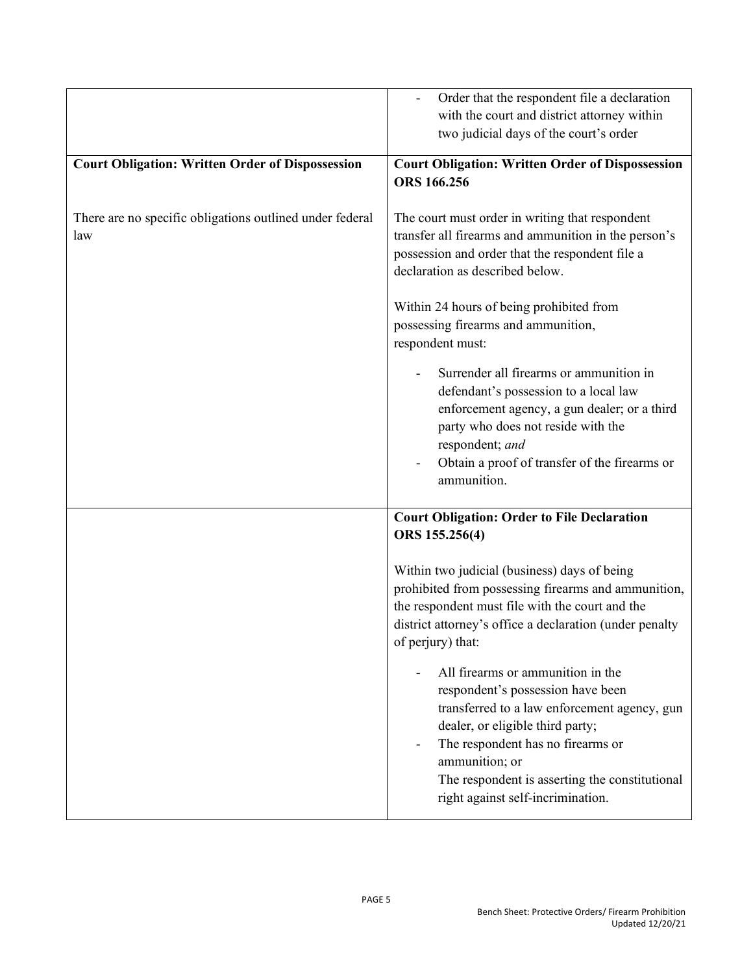|                                                                 | Order that the respondent file a declaration<br>with the court and district attorney within<br>two judicial days of the court's order                                                                                                                                                                    |
|-----------------------------------------------------------------|----------------------------------------------------------------------------------------------------------------------------------------------------------------------------------------------------------------------------------------------------------------------------------------------------------|
| <b>Court Obligation: Written Order of Dispossession</b>         | <b>Court Obligation: Written Order of Dispossession</b><br><b>ORS</b> 166.256                                                                                                                                                                                                                            |
| There are no specific obligations outlined under federal<br>law | The court must order in writing that respondent<br>transfer all firearms and ammunition in the person's<br>possession and order that the respondent file a<br>declaration as described below.                                                                                                            |
|                                                                 | Within 24 hours of being prohibited from<br>possessing firearms and ammunition,<br>respondent must:                                                                                                                                                                                                      |
|                                                                 | Surrender all firearms or ammunition in<br>defendant's possession to a local law<br>enforcement agency, a gun dealer; or a third<br>party who does not reside with the<br>respondent; and<br>Obtain a proof of transfer of the firearms or<br>ammunition.                                                |
|                                                                 | <b>Court Obligation: Order to File Declaration</b><br>ORS 155.256(4)                                                                                                                                                                                                                                     |
|                                                                 | Within two judicial (business) days of being<br>prohibited from possessing firearms and ammunition,<br>the respondent must file with the court and the<br>district attorney's office a declaration (under penalty<br>of perjury) that:                                                                   |
|                                                                 | All firearms or ammunition in the<br>respondent's possession have been<br>transferred to a law enforcement agency, gun<br>dealer, or eligible third party;<br>The respondent has no firearms or<br>ammunition; or<br>The respondent is asserting the constitutional<br>right against self-incrimination. |